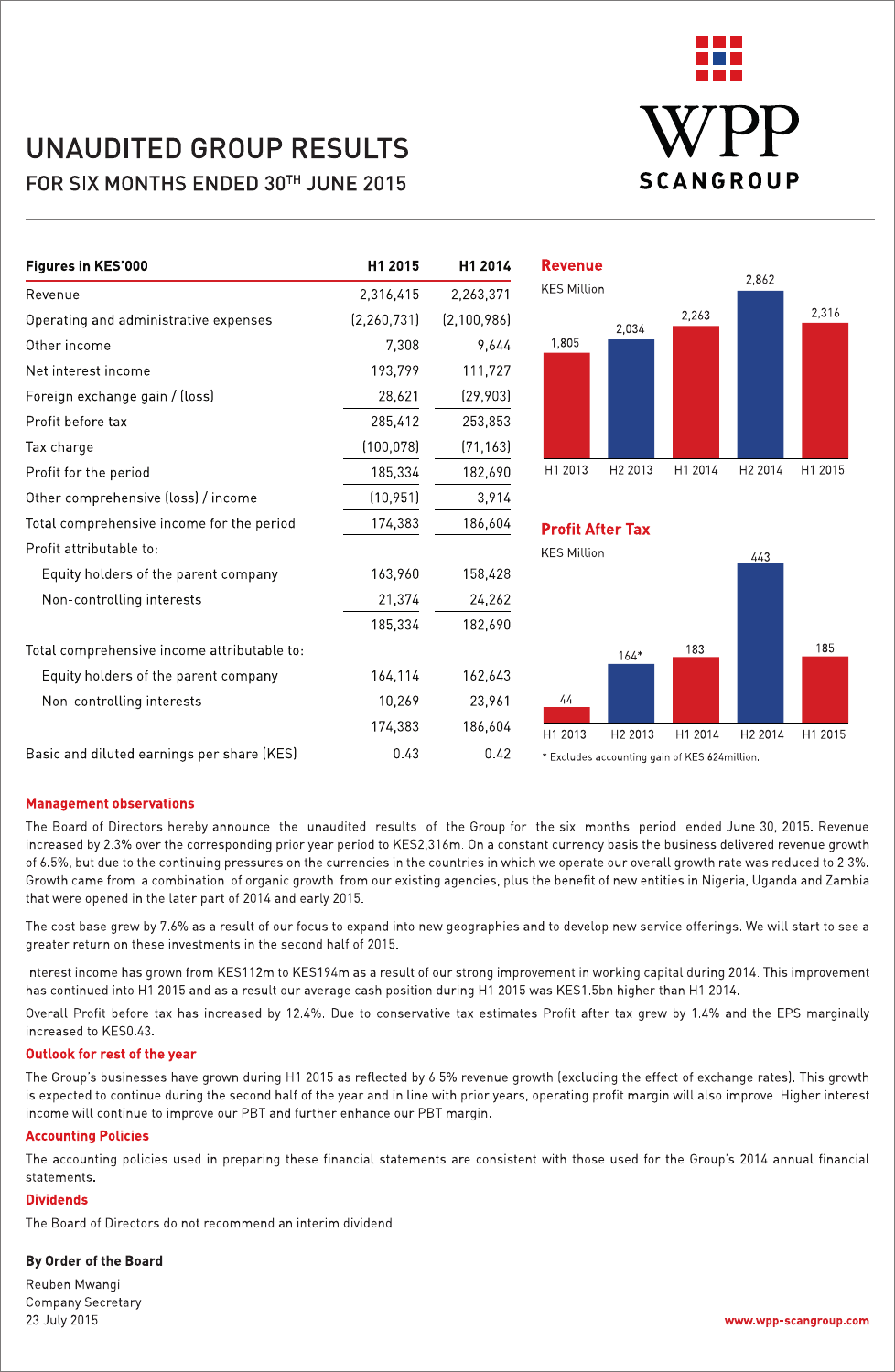

# **UNAUDITED GROUP RESULTS** FOR SIX MONTHS ENDED 30TH JUNE 2015

| Figures in KES'000                          | H1 2015       | H1 2014       | <b>Revenue</b>          |                     |                                               |                     |         |
|---------------------------------------------|---------------|---------------|-------------------------|---------------------|-----------------------------------------------|---------------------|---------|
| Revenue                                     | 2,316,415     | 2,263,371     | <b>KES Million</b>      |                     |                                               | 2,862               |         |
| Operating and administrative expenses       | (2, 260, 731) | (2, 100, 986) |                         | 2,034               | 2,263                                         |                     | 2,316   |
| Other income                                | 7,308         | 9,644         | 1,805                   |                     |                                               |                     |         |
| Net interest income                         | 193,799       | 111,727       |                         |                     |                                               |                     |         |
| Foreign exchange gain / (loss)              | 28,621        | [29,903]      |                         |                     |                                               |                     |         |
| Profit before tax                           | 285,412       | 253,853       |                         |                     |                                               |                     |         |
| Tax charge                                  | (100,078)     | (71, 163)     |                         |                     |                                               |                     |         |
| Profit for the period                       | 185,334       | 182,690       | H1 2013                 | H <sub>2</sub> 2013 | H1 2014                                       | H2 2014             | H1 2015 |
| Other comprehensive (loss) / income         | (10, 951)     | 3,914         |                         |                     |                                               |                     |         |
| Total comprehensive income for the period   | 174,383       | 186,604       | <b>Profit After Tax</b> |                     |                                               |                     |         |
| Profit attributable to:                     |               |               | <b>KES Million</b>      |                     |                                               | 443                 |         |
| Equity holders of the parent company        | 163,960       | 158,428       |                         |                     |                                               |                     |         |
| Non-controlling interests                   | 21,374        | 24,262        |                         |                     |                                               |                     |         |
|                                             | 185,334       | 182,690       |                         |                     |                                               |                     |         |
| Total comprehensive income attributable to: |               |               |                         | $164*$              | 183                                           |                     | 185     |
| Equity holders of the parent company        | 164,114       | 162,643       |                         |                     |                                               |                     |         |
| Non-controlling interests                   | 10,269        | 23,961        | 44                      |                     |                                               |                     |         |
|                                             | 174,383       | 186,604       | H1 2013                 | H <sub>2</sub> 2013 | H1 2014                                       | H <sub>2</sub> 2014 | H1 2015 |
| Basic and diluted earnings per share (KES)  | 0.43          | 0.42          |                         |                     | * Excludes accounting gain of KES 624 million |                     |         |

Basic and diluted earnings per share (KES)

### **Management observations**

The Board of Directors hereby announce the unaudited results of the Group for the six months period ended June 30, 2015. Revenue increased by 2.3% over the corresponding prior year period to KES2,316m. On a constant currency basis the business delivered revenue growth of 6.5%, but due to the continuing pressures on the currencies in the countries in which we operate our overall growth rate was reduced to 2.3%. Growth came from a combination of organic growth from our existing agencies, plus the benefit of new entities in Nigeria, Uganda and Zambia that were opened in the later part of 2014 and early 2015.

The cost base grew by 7.6% as a result of our focus to expand into new geographies and to develop new service offerings. We will start to see a greater return on these investments in the second half of 2015.

Interest income has grown from KES112m to KES194m as a result of our strong improvement in working capital during 2014. This improvement has continued into H1 2015 and as a result our average cash position during H1 2015 was KES1.5bn higher than H1 2014.

Overall Profit before tax has increased by 12.4%. Due to conservative tax estimates Profit after tax grew by 1.4% and the EPS marginally increased to KFS0 43

#### Outlook for rest of the year

The Group's businesses have grown during H1 2015 as reflected by 6.5% revenue growth (excluding the effect of exchange rates). This growth is expected to continue during the second half of the year and in line with prior years, operating profit margin will also improve. Higher interest income will continue to improve our PBT and further enhance our PBT margin.

### **Accounting Policies**

The accounting policies used in preparing these financial statements are consistent with those used for the Group's 2014 annual financial statements

### **Dividends**

The Board of Directors do not recommend an interim dividend.

#### By Order of the Board

Reuben Mwangi **Company Secretary** 23 July 2015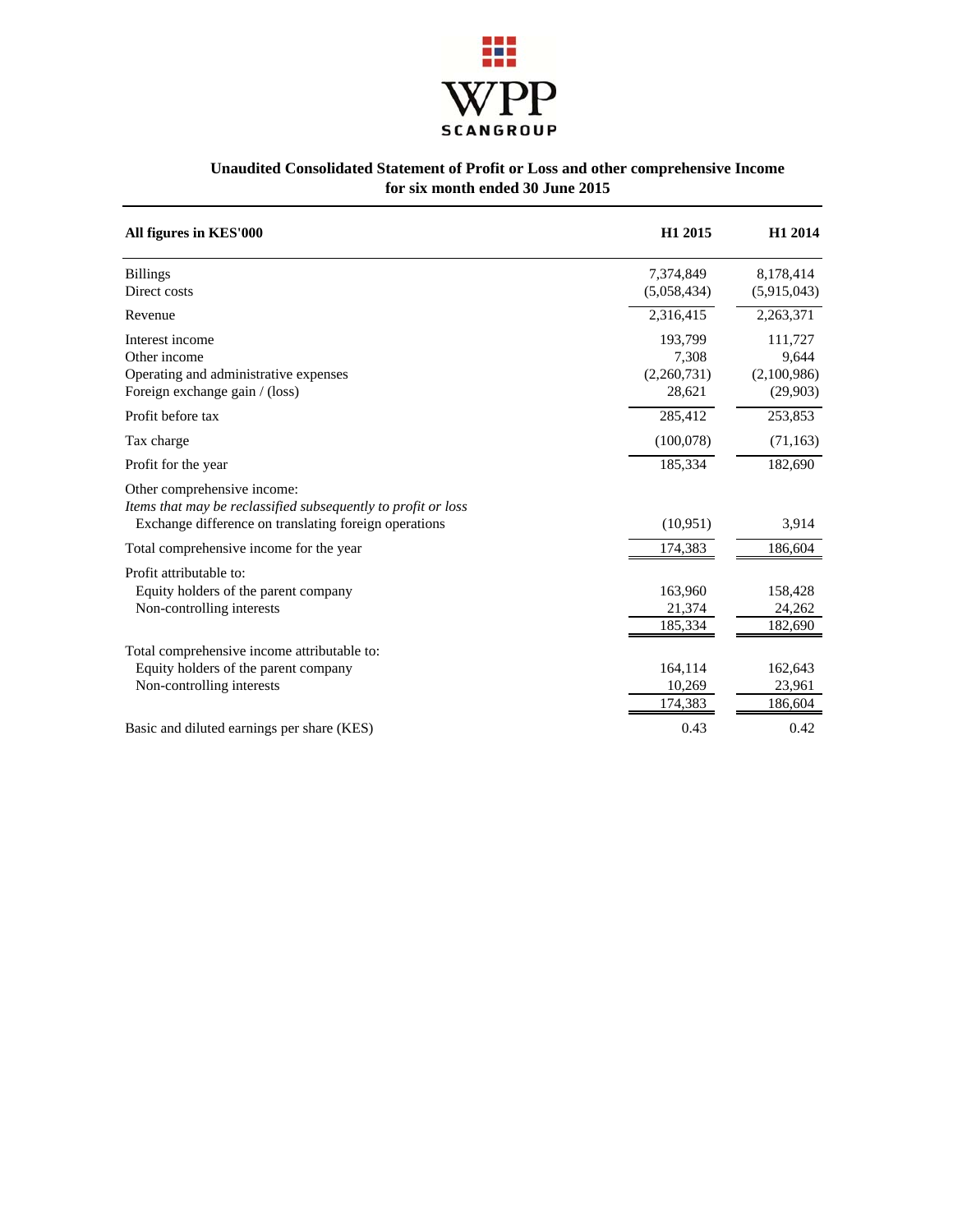

### **Unaudited Consolidated Statement of Profit or Loss and other comprehensive Income for six month ended 30 June 2015**

| All figures in KES'000                                                                                                                                | H1 2015                                   | H1 2014                                     |
|-------------------------------------------------------------------------------------------------------------------------------------------------------|-------------------------------------------|---------------------------------------------|
| <b>Billings</b><br>Direct costs                                                                                                                       | 7,374,849<br>(5,058,434)                  | 8,178,414<br>(5,915,043)                    |
| Revenue                                                                                                                                               | 2,316,415                                 | 2,263,371                                   |
| Interest income<br>Other income<br>Operating and administrative expenses<br>Foreign exchange gain / (loss)                                            | 193,799<br>7,308<br>(2,260,731)<br>28,621 | 111,727<br>9,644<br>(2,100,986)<br>(29,903) |
| Profit before tax                                                                                                                                     | 285,412                                   | 253,853                                     |
| Tax charge                                                                                                                                            | (100,078)                                 | (71, 163)                                   |
| Profit for the year                                                                                                                                   | 185,334                                   | 182,690                                     |
| Other comprehensive income:<br>Items that may be reclassified subsequently to profit or loss<br>Exchange difference on translating foreign operations | (10, 951)                                 | 3,914                                       |
| Total comprehensive income for the year                                                                                                               | 174,383                                   | 186,604                                     |
| Profit attributable to:<br>Equity holders of the parent company<br>Non-controlling interests                                                          | 163,960<br>21,374<br>185,334              | 158,428<br>24,262<br>182,690                |
| Total comprehensive income attributable to:<br>Equity holders of the parent company<br>Non-controlling interests                                      | 164,114<br>10,269<br>174,383              | 162,643<br>23,961<br>186,604                |
| Basic and diluted earnings per share (KES)                                                                                                            | 0.43                                      | 0.42                                        |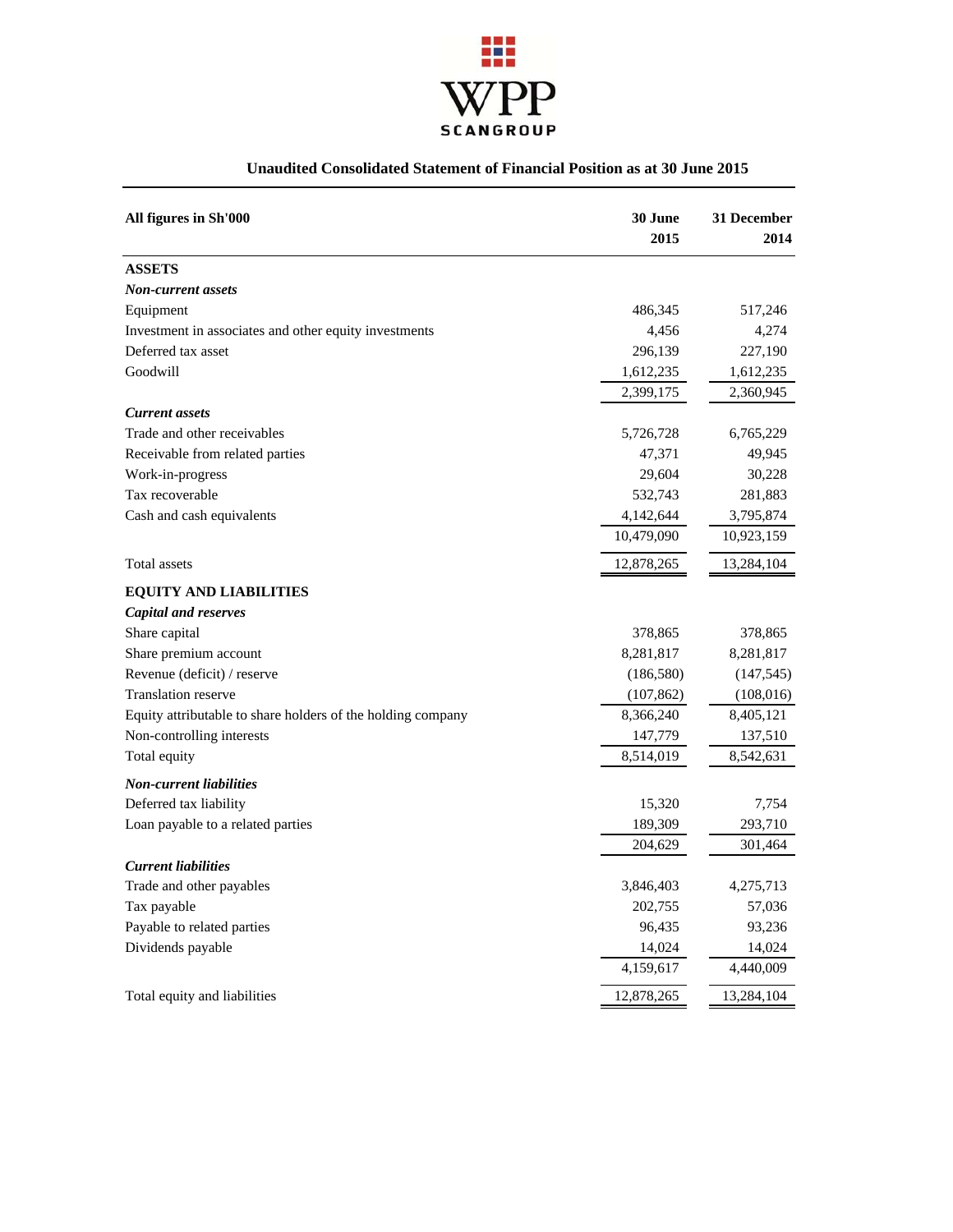

# **Unaudited Consolidated Statement of Financial Position as at 30 June 2015**

| All figures in Sh'000                                       | 30 June<br>2015 | 31 December<br>2014 |
|-------------------------------------------------------------|-----------------|---------------------|
| <b>ASSETS</b>                                               |                 |                     |
| Non-current assets                                          |                 |                     |
| Equipment                                                   | 486,345         | 517,246             |
| Investment in associates and other equity investments       | 4,456           | 4,274               |
| Deferred tax asset                                          | 296,139         | 227,190             |
| Goodwill                                                    | 1,612,235       | 1,612,235           |
|                                                             | 2,399,175       | 2,360,945           |
| <b>Current assets</b>                                       |                 |                     |
| Trade and other receivables                                 | 5,726,728       | 6,765,229           |
| Receivable from related parties                             | 47,371          | 49,945              |
| Work-in-progress                                            | 29,604          | 30,228              |
| Tax recoverable                                             | 532,743         | 281,883             |
| Cash and cash equivalents                                   | 4,142,644       | 3,795,874           |
|                                                             | 10,479,090      | 10,923,159          |
| Total assets                                                | 12,878,265      | 13,284,104          |
| <b>EQUITY AND LIABILITIES</b>                               |                 |                     |
| <b>Capital and reserves</b>                                 |                 |                     |
| Share capital                                               | 378,865         | 378,865             |
| Share premium account                                       | 8,281,817       | 8,281,817           |
| Revenue (deficit) / reserve                                 | (186, 580)      | (147, 545)          |
| <b>Translation reserve</b>                                  | (107, 862)      | (108,016)           |
| Equity attributable to share holders of the holding company | 8,366,240       | 8,405,121           |
| Non-controlling interests                                   | 147,779         | 137,510             |
| Total equity                                                | 8,514,019       | 8,542,631           |
| <b>Non-current liabilities</b>                              |                 |                     |
| Deferred tax liability                                      | 15,320          | 7,754               |
| Loan payable to a related parties                           | 189,309         | 293,710             |
|                                                             | 204,629         | 301,464             |
| <b>Current liabilities</b>                                  |                 |                     |
| Trade and other payables                                    | 3,846,403       | 4,275,713           |
| Tax payable                                                 | 202,755         | 57,036              |
| Payable to related parties                                  | 96,435          | 93,236              |
| Dividends payable                                           | 14,024          | 14,024              |
|                                                             | 4,159,617       | 4,440,009           |
| Total equity and liabilities                                | 12,878,265      | 13,284,104          |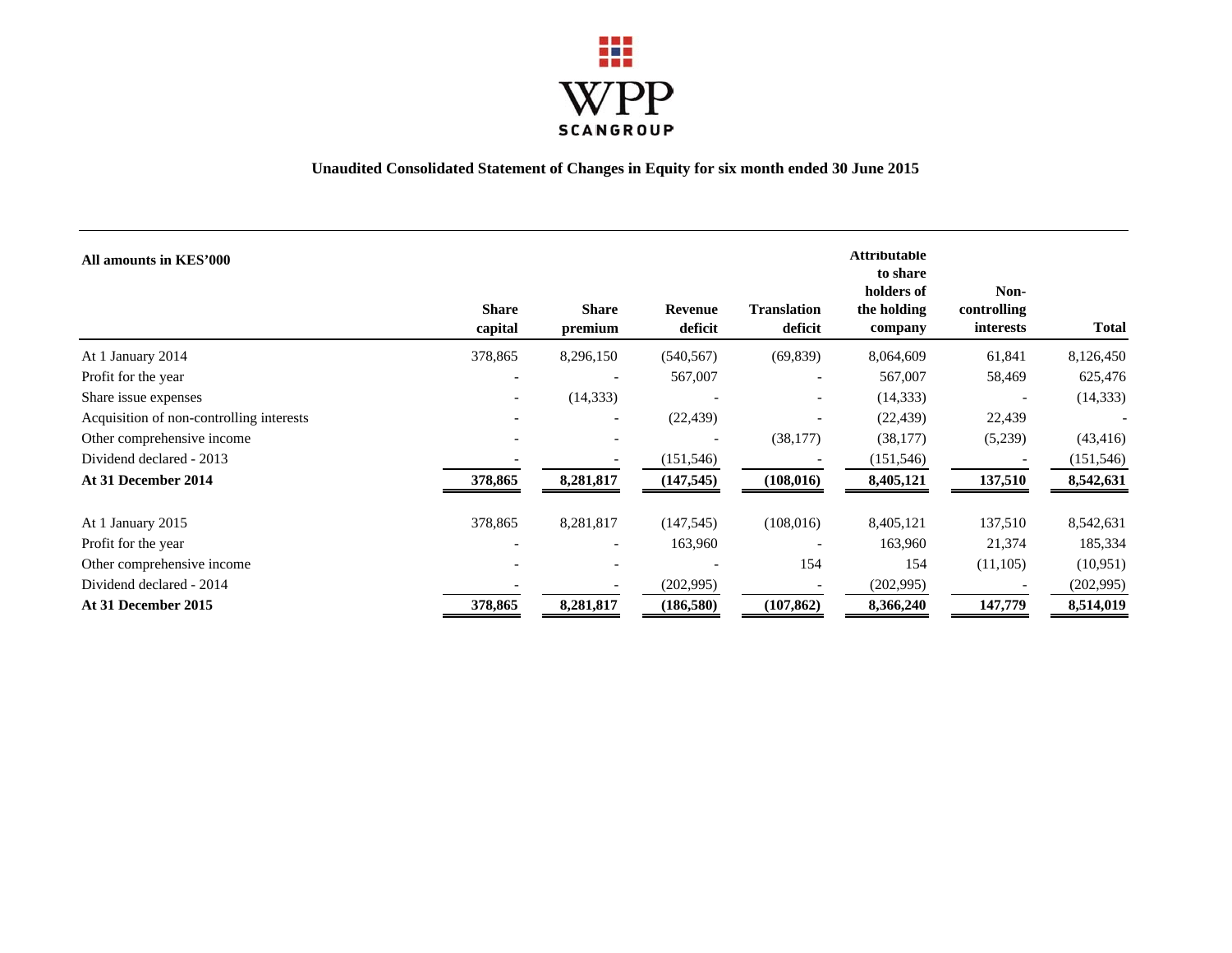

# **Unaudited Consolidated Statement of Changes in Equity for six month ended 30 June 2015**

| All amounts in KES'000                   | <b>Share</b><br>capital | <b>Share</b><br>premium  | Revenue<br>deficit | <b>Translation</b><br>deficit | <b>Attributable</b><br>to share<br>holders of<br>the holding<br>company | Non-<br>controlling<br>interests | <b>Total</b> |
|------------------------------------------|-------------------------|--------------------------|--------------------|-------------------------------|-------------------------------------------------------------------------|----------------------------------|--------------|
| At 1 January 2014                        | 378,865                 | 8,296,150                | (540, 567)         | (69, 839)                     | 8,064,609                                                               | 61,841                           | 8,126,450    |
| Profit for the year                      |                         |                          | 567,007            | $\overline{\phantom{a}}$      | 567,007                                                                 | 58,469                           | 625,476      |
| Share issue expenses                     |                         | (14, 333)                |                    | $\overline{\phantom{a}}$      | (14, 333)                                                               |                                  | (14, 333)    |
| Acquisition of non-controlling interests |                         | $\overline{\phantom{a}}$ | (22, 439)          | $\overline{\phantom{a}}$      | (22, 439)                                                               | 22,439                           |              |
| Other comprehensive income               |                         |                          |                    | (38, 177)                     | (38, 177)                                                               | (5,239)                          | (43, 416)    |
| Dividend declared - 2013                 |                         |                          | (151, 546)         |                               | (151, 546)                                                              |                                  | (151, 546)   |
| At 31 December 2014                      | 378,865                 | 8,281,817                | (147, 545)         | (108, 016)                    | 8,405,121                                                               | 137,510                          | 8,542,631    |
| At 1 January 2015                        | 378,865                 | 8,281,817                | (147, 545)         | (108,016)                     | 8,405,121                                                               | 137,510                          | 8,542,631    |
| Profit for the year                      |                         | $\overline{\phantom{a}}$ | 163,960            |                               | 163,960                                                                 | 21,374                           | 185,334      |
| Other comprehensive income               |                         |                          |                    | 154                           | 154                                                                     | (11,105)                         | (10,951)     |
| Dividend declared - 2014                 |                         |                          | (202, 995)         |                               | (202, 995)                                                              |                                  | (202, 995)   |
| At 31 December 2015                      | 378,865                 | 8,281,817                | (186, 580)         | (107, 862)                    | 8,366,240                                                               | 147,779                          | 8,514,019    |